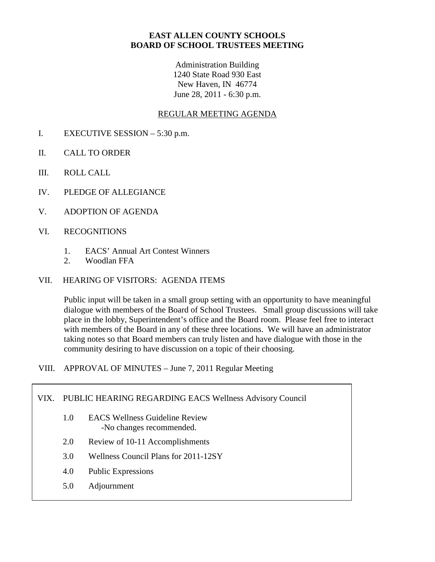## **EAST ALLEN COUNTY SCHOOLS BOARD OF SCHOOL TRUSTEES MEETING**

Administration Building 1240 State Road 930 East New Haven, IN 46774 June 28, 2011 - 6:30 p.m.

## REGULAR MEETING AGENDA

- I. EXECUTIVE SESSION 5:30 p.m.
- II. CALL TO ORDER
- III. ROLL CALL
- IV. PLEDGE OF ALLEGIANCE
- V. ADOPTION OF AGENDA
- VI. RECOGNITIONS
	- 1. EACS' Annual Art Contest Winners
	- 2. Woodlan FFA
- VII. HEARING OF VISITORS: AGENDA ITEMS

Public input will be taken in a small group setting with an opportunity to have meaningful dialogue with members of the Board of School Trustees. Small group discussions will take place in the lobby, Superintendent's office and the Board room. Please feel free to interact with members of the Board in any of these three locations. We will have an administrator taking notes so that Board members can truly listen and have dialogue with those in the community desiring to have discussion on a topic of their choosing.

VIII. APPROVAL OF MINUTES – June 7, 2011 Regular Meeting

#### VIX. PUBLIC HEARING REGARDING EACS Wellness Advisory Council

- 1.0 EACS Wellness Guideline Review -No changes recommended.
- 2.0 Review of 10-11 Accomplishments
- 3.0 Wellness Council Plans for 2011-12SY
- 4.0 Public Expressions
- 5.0 Adjournment X. INFORMATION ITEMS